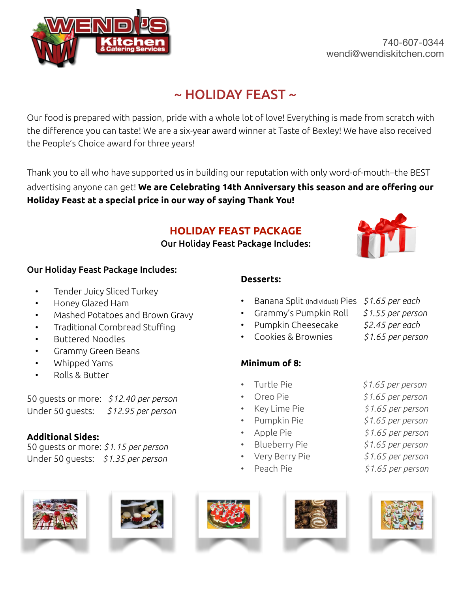

# $\sim$  HOLIDAY FEAST  $\sim$

Our food is prepared with passion, pride with a whole lot of love! Everything is made from scratch with the difference you can taste! We are a six-year award winner at Taste of Bexley! We have also received the People's Choice award for three years!

Thank you to all who have supported us in building our reputation with only word-of-mouth–the BEST

advertising anyone can get! **We are Celebrating 14th Anniversary this season and are offering our Holiday Feast at a special price in our way of saying Thank You!**

## **HOLIDAY FEAST PACKAGE**

Our Holiday Feast Package Includes:



## Our Holiday Feast Package Includes:

- Tender Juicy Sliced Turkey
- Honey Glazed Ham
- Mashed Potatoes and Brown Gravy
- Traditional Cornbread Stuffing
- Buttered Noodles
- Grammy Green Beans
- Whipped Yams
- Rolls & Butter

50 guests or more: *\$12.40 per person* Under 50 guests: *\$12.95 per person*

## **Additional Sides:**

50 guests or more: *\$1.15 per person* Under 50 guests: *\$1.35 per person*











- Banana Split (Individual) Pies *\$1.65 per each*
- Grammy's Pumpkin Roll *\$1.55 per person*
- Pumpkin Cheesecake *\$2.45 per each*
- Cookies & Brownies  *\$1.65 per person*
- **Minimum of 8:**
- Turtle Pie *\$1.65 per person*

**Desserts:**

- 
- Key Lime Pie *\$1.65 per person*
- Pumpkin Pie *\$1.65 per person*
- 
- Blueberry Pie *\$1.65 per person*
- 
- 
- Oreo Pie *\$1.65 per person* 
	-
	-
	-
- Apple Pie *\$1.65 per person*
	-
- Very Berry Pie *\$1.65 per person*
- Peach Pie *\$1.65 per person*